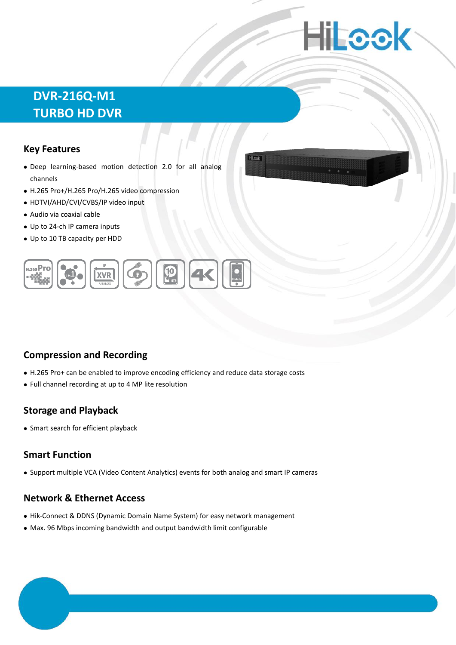# **Hilleck**

Hillagh

## **DVR-216Q-M1 TURBO HD DVR**

#### **Key Features**

- Deep learning-based motion detection 2.0 for all analog channels
- H.265 Pro+/H.265 Pro/H.265 video compression
- HDTVI/AHD/CVI/CVBS/IP video input
- Audio via coaxial cable
- Up to 24-ch IP camera inputs
- Up to 10 TB capacity per HDD



#### **Compression and Recording**

- H.265 Pro+ can be enabled to improve encoding efficiency and reduce data storage costs
- Full channel recording at up to 4 MP lite resolution

#### **Storage and Playback**

Smart search for efficient playback

#### **Smart Function**

Support multiple VCA (Video Content Analytics) events for both analog and smart IP cameras

#### **Network & Ethernet Access**

- Hik-Connect & DDNS (Dynamic Domain Name System) for easy network management
- Max. 96 Mbps incoming bandwidth and output bandwidth limit configurable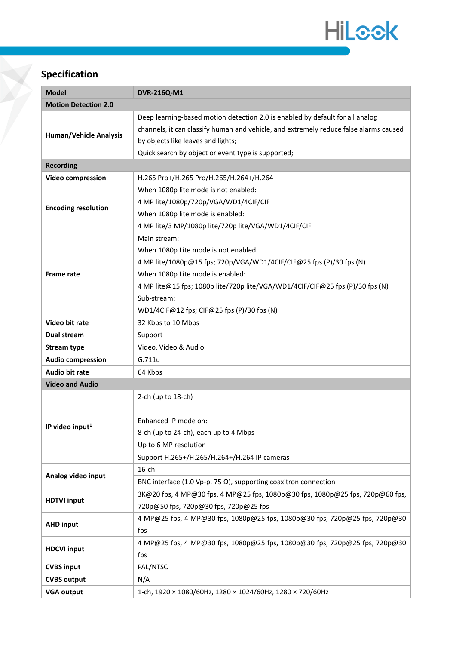

## **Specification**

| <b>Model</b>                  | <b>DVR-216Q-M1</b>                                                                    |  |
|-------------------------------|---------------------------------------------------------------------------------------|--|
| <b>Motion Detection 2.0</b>   |                                                                                       |  |
|                               | Deep learning-based motion detection 2.0 is enabled by default for all analog         |  |
| <b>Human/Vehicle Analysis</b> | channels, it can classify human and vehicle, and extremely reduce false alarms caused |  |
|                               | by objects like leaves and lights;                                                    |  |
|                               | Quick search by object or event type is supported;                                    |  |
| <b>Recording</b>              |                                                                                       |  |
| <b>Video compression</b>      | H.265 Pro+/H.265 Pro/H.265/H.264+/H.264                                               |  |
| <b>Encoding resolution</b>    | When 1080p lite mode is not enabled:                                                  |  |
|                               | 4 MP lite/1080p/720p/VGA/WD1/4CIF/CIF                                                 |  |
|                               | When 1080p lite mode is enabled:                                                      |  |
|                               | 4 MP lite/3 MP/1080p lite/720p lite/VGA/WD1/4CIF/CIF                                  |  |
| <b>Frame rate</b>             | Main stream:                                                                          |  |
|                               | When 1080p Lite mode is not enabled:                                                  |  |
|                               | 4 MP lite/1080p@15 fps; 720p/VGA/WD1/4CIF/CIF@25 fps (P)/30 fps (N)                   |  |
|                               | When 1080p Lite mode is enabled:                                                      |  |
|                               | 4 MP lite@15 fps; 1080p lite/720p lite/VGA/WD1/4CIF/CIF@25 fps (P)/30 fps (N)         |  |
|                               | Sub-stream:                                                                           |  |
|                               | WD1/4CIF@12 fps; CIF@25 fps (P)/30 fps (N)                                            |  |
| Video bit rate                | 32 Kbps to 10 Mbps                                                                    |  |
| Dual stream                   | Support                                                                               |  |
| <b>Stream type</b>            | Video, Video & Audio                                                                  |  |
| <b>Audio compression</b>      | G.711u                                                                                |  |
| Audio bit rate                | 64 Kbps                                                                               |  |
| <b>Video and Audio</b>        |                                                                                       |  |
|                               | 2-ch (up to $18$ -ch)                                                                 |  |
|                               |                                                                                       |  |
| IP video input <sup>1</sup>   | Enhanced IP mode on:                                                                  |  |
|                               | 8-ch (up to 24-ch), each up to 4 Mbps                                                 |  |
|                               | Up to 6 MP resolution                                                                 |  |
|                               | Support H.265+/H.265/H.264+/H.264 IP cameras                                          |  |
|                               | $16$ -ch                                                                              |  |
| Analog video input            | BNC interface (1.0 Vp-p, 75 $\Omega$ ), supporting coaxitron connection               |  |
|                               | 3K@20 fps, 4 MP@30 fps, 4 MP@25 fps, 1080p@30 fps, 1080p@25 fps, 720p@60 fps,         |  |
| <b>HDTVI input</b>            | 720p@50 fps, 720p@30 fps, 720p@25 fps                                                 |  |
| <b>AHD input</b>              | 4 MP@25 fps, 4 MP@30 fps, 1080p@25 fps, 1080p@30 fps, 720p@25 fps, 720p@30            |  |
|                               | fps                                                                                   |  |
| <b>HDCVI input</b>            | 4 MP@25 fps, 4 MP@30 fps, 1080p@25 fps, 1080p@30 fps, 720p@25 fps, 720p@30            |  |
|                               | fps                                                                                   |  |
| <b>CVBS input</b>             | PAL/NTSC                                                                              |  |
| <b>CVBS output</b>            | N/A                                                                                   |  |
| <b>VGA output</b>             | 1-ch, 1920 × 1080/60Hz, 1280 × 1024/60Hz, 1280 × 720/60Hz                             |  |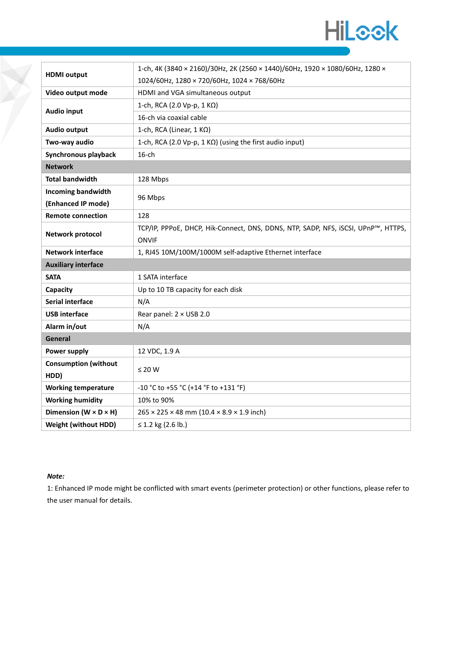

| <b>HDMI</b> output                  | 1-ch, 4K (3840 × 2160)/30Hz, 2K (2560 × 1440)/60Hz, 1920 × 1080/60Hz, 1280 ×      |
|-------------------------------------|-----------------------------------------------------------------------------------|
|                                     | 1024/60Hz, 1280 × 720/60Hz, 1024 × 768/60Hz                                       |
| Video output mode                   | HDMI and VGA simultaneous output                                                  |
| <b>Audio input</b>                  | 1-ch, RCA (2.0 Vp-p, 1 KΩ)                                                        |
|                                     | 16-ch via coaxial cable                                                           |
| Audio output                        | 1-ch, RCA (Linear, 1 KΩ)                                                          |
| Two-way audio                       | 1-ch, RCA (2.0 Vp-p, 1 KΩ) (using the first audio input)                          |
| Synchronous playback                | $16$ -ch                                                                          |
| <b>Network</b>                      |                                                                                   |
| <b>Total bandwidth</b>              | 128 Mbps                                                                          |
| <b>Incoming bandwidth</b>           |                                                                                   |
| (Enhanced IP mode)                  | 96 Mbps                                                                           |
| <b>Remote connection</b>            | 128                                                                               |
| Network protocol                    | TCP/IP, PPPoE, DHCP, Hik-Connect, DNS, DDNS, NTP, SADP, NFS, iSCSI, UPnP™, HTTPS, |
|                                     | <b>ONVIF</b>                                                                      |
|                                     |                                                                                   |
| <b>Network interface</b>            | 1, RJ45 10M/100M/1000M self-adaptive Ethernet interface                           |
| <b>Auxiliary interface</b>          |                                                                                   |
| <b>SATA</b>                         | 1 SATA interface                                                                  |
| Capacity                            | Up to 10 TB capacity for each disk                                                |
| Serial interface                    | N/A                                                                               |
| <b>USB</b> interface                | Rear panel: 2 × USB 2.0                                                           |
| Alarm in/out                        | N/A                                                                               |
| General                             |                                                                                   |
| Power supply                        | 12 VDC, 1.9 A                                                                     |
| <b>Consumption (without</b>         |                                                                                   |
| HDD)                                | $\leq 20$ W                                                                       |
| <b>Working temperature</b>          | -10 °C to +55 °C (+14 °F to +131 °F)                                              |
| <b>Working humidity</b>             | 10% to 90%                                                                        |
| Dimension ( $W \times D \times H$ ) | $265 \times 225 \times 48$ mm (10.4 $\times$ 8.9 $\times$ 1.9 inch)               |

#### *Note:*

1: Enhanced IP mode might be conflicted with smart events (perimeter protection) or other functions, please refer to the user manual for details.